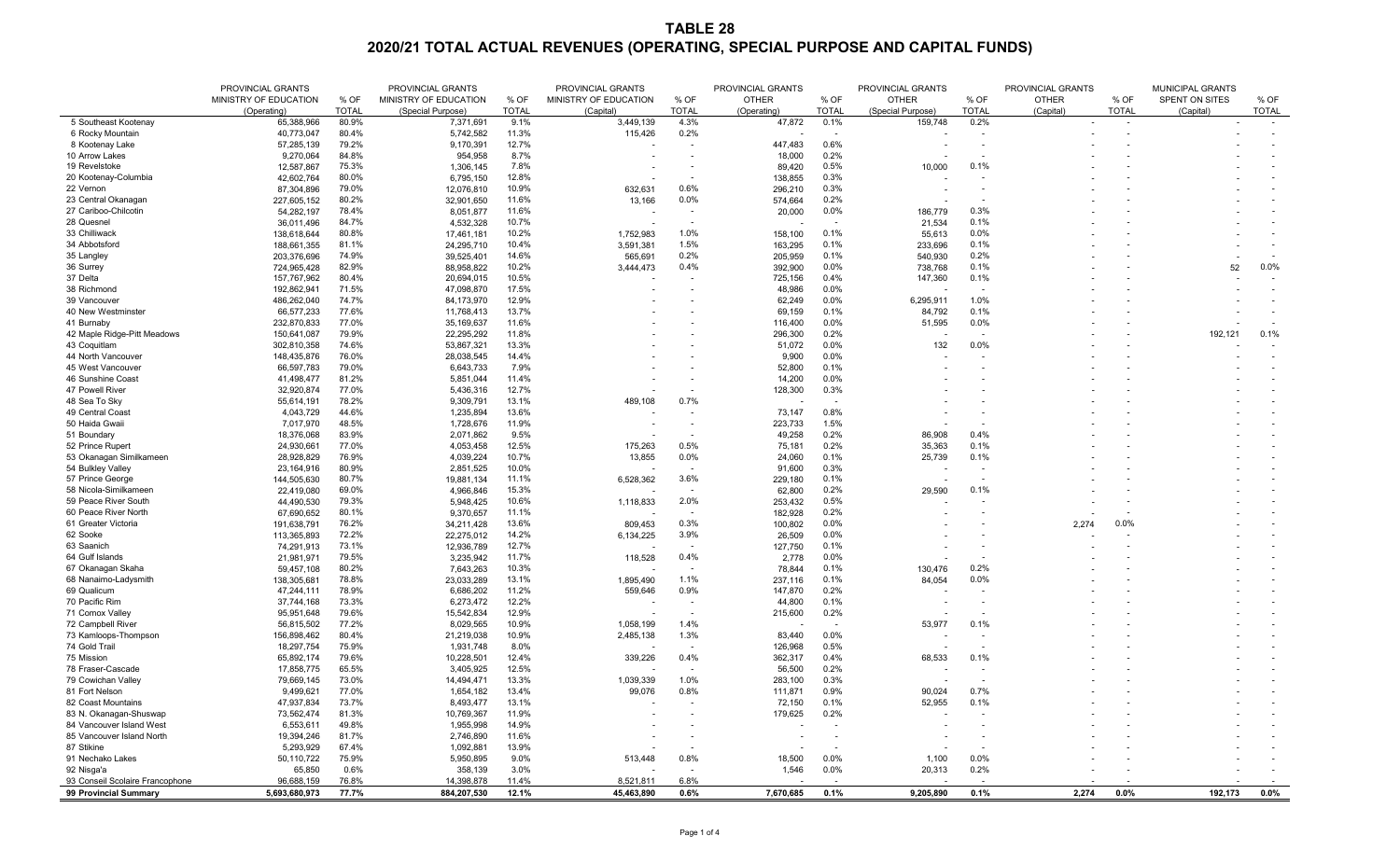## **TABLE 28 2020/21 TOTAL ACTUAL REVENUES (OPERATING, SPECIAL PURPOSE AND CAPITAL FUNDS)**

|                                    | PROVINCIAL GRANTS        |                | PROVINCIAL GRANTS       |                | PROVINCIAL GRANTS     |                          | PROVINCIAL GRANTS  |                                | PROVINCIAL GRANTS |                               |              | PROVINCIAL GRANTS                 |                       |                            |
|------------------------------------|--------------------------|----------------|-------------------------|----------------|-----------------------|--------------------------|--------------------|--------------------------------|-------------------|-------------------------------|--------------|-----------------------------------|-----------------------|----------------------------|
|                                    | MINISTRY OF EDUCATION    | % OF           | MINISTRY OF EDUCATION   | % OF           | MINISTRY OF EDUCATION | % OF                     | <b>OTHER</b>       | % OF                           | <b>OTHER</b>      | % OF                          | <b>OTHER</b> | % OF                              | <b>SPENT ON SITES</b> | % OF                       |
|                                    | (Operating)              | <b>TOTAL</b>   | (Special Purpose)       | <b>TOTAL</b>   | (Capital)             | <b>TOTAL</b>             | (Operating)        | <b>TOTAL</b>                   | (Special Purpose) | <b>TOTAL</b>                  | (Capital)    | <b>TOTAL</b>                      | (Capital)             | <b>TOTAL</b>               |
| 5 Southeast Kootenay               | 65,388,966               | 80.9%          | 7,371,691               | 9.1%           | 3,449,139             | 4.3%                     | 47,872             | 0.1%                           | 159,748           | 0.2%                          |              | $\sim$                            | $\sim$                | $\sim$ $ \sim$             |
| 6 Rocky Mountain                   | 40,773,047               | 80.4%          | 5,742,582               | 11.3%          | 115,426               | 0.2%                     |                    |                                |                   |                               |              |                                   |                       |                            |
| 8 Kootenay Lake                    | 57,285,139               | 79.2%          | 9,170,391               | 12.7%          |                       | $\sim$                   | 447,483            | 0.6%                           |                   |                               |              |                                   |                       |                            |
| 10 Arrow Lakes<br>19 Revelstoke    | 9,270,064                | 84.8%<br>75.3% | 954,958                 | 8.7%<br>7.8%   |                       |                          | 18,000             | 0.2%<br>0.5%                   |                   | 0.1%                          |              |                                   |                       |                            |
| 20 Kootenay-Columbia               | 12,587,867<br>42,602,764 | 80.0%          | 1,306,145<br>6,795,150  | 12.8%          |                       |                          | 89,420             | 0.3%                           | 10,000            |                               |              |                                   |                       |                            |
| 22 Vernon                          | 87,304,896               | 79.0%          | 12,076,810              | 10.9%          | 632,631               | $\sim$<br>0.6%           | 138,855<br>296,210 | 0.3%                           |                   |                               |              |                                   |                       |                            |
| 23 Central Okanagan                | 227,605,152              | 80.2%          | 32,901,650              | 11.6%          | 13,166                | $0.0\%$                  | 574,664            | 0.2%                           |                   |                               |              |                                   |                       |                            |
| 27 Cariboo-Chilcotin               | 54,282,197               | 78.4%          | 8,051,877               | 11.6%          |                       | $\overline{\phantom{a}}$ | 20,000             | $0.0\%$                        | 186,779           | 0.3%                          |              |                                   |                       |                            |
| 28 Quesnel                         | 36,011,496               | 84.7%          | 4,532,328               | 10.7%          |                       | $\sim$                   |                    | $\sim$                         | 21,534            | 0.1%                          |              |                                   |                       |                            |
| 33 Chilliwack                      | 138,618,644              | 80.8%          | 17,461,181              | 10.2%          | 1,752,983             | 1.0%                     | 158,100            | 0.1%                           | 55,613            | 0.0%                          |              |                                   |                       |                            |
| 34 Abbotsford                      | 188,661,355              | 81.1%          | 24,295,710              | 10.4%          | 3,591,381             | 1.5%                     | 163,295            | 0.1%                           | 233,696           | 0.1%                          |              |                                   |                       |                            |
| 35 Langley                         | 203,376,696              | 74.9%          | 39,525,401              | 14.6%          | 565,691               | 0.2%                     | 205,959            | 0.1%                           | 540,930           | 0.2%                          |              |                                   |                       |                            |
| 36 Surrey                          | 724,965,428              | 82.9%          | 88,958,822              | 10.2%          | 3,444,473             | 0.4%                     | 392,900            | 0.0%                           | 738,768           | 0.1%                          |              |                                   | 52                    | $0.0\%$                    |
| 37 Delta                           | 157,767,962              | 80.4%          | 20,694,015              | 10.5%          |                       | $\sim$                   | 725,156            | 0.4%                           | 147,360           | 0.1%                          |              |                                   |                       |                            |
| 38 Richmond                        | 192,862,941              | 71.5%          | 47,098,870              | 17.5%          |                       |                          | 48,986             | 0.0%                           |                   |                               |              |                                   |                       |                            |
| 39 Vancouver                       | 486,262,040              | 74.7%          | 84,173,970              | 12.9%          |                       |                          | 62,249             | 0.0%                           | 6,295,911         | 1.0%                          |              |                                   |                       |                            |
| 40 New Westminster                 | 66,577,233               | 77.6%          | 11,768,413              | 13.7%          |                       |                          | 69,159             | 0.1%                           | 84,792            | 0.1%                          |              |                                   |                       |                            |
| 41 Burnaby                         | 232,870,833              | 77.0%          | 35,169,637              | 11.6%          |                       |                          | 116,400            | 0.0%                           | 51,595            | 0.0%                          |              |                                   |                       |                            |
| 42 Maple Ridge-Pitt Meadows        | 150,641,087              | 79.9%          | 22,295,292              | 11.8%          |                       |                          | 296,300            | 0.2%                           |                   |                               |              |                                   | 192,121               | 0.1%                       |
| 43 Coquitlam                       | 302,810,358              | 74.6%          | 53,867,321              | 13.3%          |                       |                          | 51,072             | 0.0%                           | 132               | 0.0%                          |              |                                   |                       |                            |
| 44 North Vancouver                 | 148,435,876              | 76.0%          | 28,038,545              | 14.4%          |                       |                          | 9,900              | 0.0%                           |                   |                               |              |                                   |                       |                            |
| 45 West Vancouver                  | 66,597,783               | 79.0%          | 6,643,733               | 7.9%           |                       |                          | 52,800             | 0.1%                           |                   |                               |              |                                   |                       |                            |
| 46 Sunshine Coast                  | 41,498,477               | 81.2%          | 5,851,044               | 11.4%          |                       |                          | 14,200             | 0.0%                           |                   |                               |              |                                   |                       |                            |
| 47 Powell River                    | 32,920,874               | 77.0%          | 5,436,316               | 12.7%          |                       |                          | 128,300            | 0.3%                           |                   |                               |              |                                   |                       |                            |
| 48 Sea To Sky                      | 55,614,191               | 78.2%          | 9,309,791               | 13.1%          | 489,108               | 0.7%                     |                    |                                |                   |                               |              |                                   |                       |                            |
| 49 Central Coast<br>50 Haida Gwaii | 4,043,729                | 44.6%<br>48.5% | 1,235,894               | 13.6%<br>11.9% |                       |                          | 73,147             | 0.8%<br>1.5%                   |                   |                               |              |                                   |                       |                            |
| 51 Boundary                        | 7,017,970                | 83.9%          | 1,728,676<br>2,071,862  | 9.5%           |                       |                          | 223,733<br>49,258  | 0.2%                           | 86,908            | 0.4%                          |              |                                   |                       |                            |
| 52 Prince Rupert                   | 18,376,068<br>24,930,661 | 77.0%          | 4,053,458               | 12.5%          | 175,263               | 0.5%                     | 75,181             | 0.2%                           | 35,363            | 0.1%                          |              |                                   |                       |                            |
| 53 Okanagan Similkameen            | 28,928,829               | 76.9%          | 4,039,224               | 10.7%          | 13,855                | 0.0%                     | 24,060             | 0.1%                           | 25,739            | 0.1%                          |              |                                   |                       |                            |
| 54 Bulkley Valley                  | 23,164,916               | 80.9%          | 2,851,525               | 10.0%          |                       | $\sim$                   | 91,600             | 0.3%                           |                   |                               |              |                                   |                       |                            |
| 57 Prince George                   | 144,505,630              | 80.7%          | 19,881,134              | 11.1%          | 6,528,362             | 3.6%                     | 229,180            | 0.1%                           |                   |                               |              |                                   |                       |                            |
| 58 Nicola-Similkameen              | 22,419,080               | 69.0%          | 4,966,846               | 15.3%          |                       |                          | 62,800             | 0.2%                           | 29,590            | 0.1%                          |              |                                   |                       |                            |
| 59 Peace River South               | 44,490,530               | 79.3%          | 5,948,425               | 10.6%          | 1,118,833             | 2.0%                     | 253,432            | 0.5%                           |                   |                               |              |                                   |                       |                            |
| 60 Peace River North               | 67,690,652               | 80.1%          | 9,370,657               | 11.1%          |                       | $\sim$                   | 182,928            | 0.2%                           |                   |                               |              |                                   |                       |                            |
| 61 Greater Victoria                | 191,638,791              | 76.2%          | 34,211,428              | 13.6%          | 809,453               | 0.3%                     | 100,802            | 0.0%                           |                   |                               | 2,274        | 0.0%                              |                       |                            |
| 62 Sooke                           | 113,365,893              | 72.2%          | 22,275,012              | 14.2%          | 6,134,225             | 3.9%                     | 26,509             | 0.0%                           |                   |                               |              |                                   |                       |                            |
| 63 Saanich                         | 74,291,913               | 73.1%          | 12,936,789              | 12.7%          |                       | $\sim$                   | 127,750            | 0.1%                           |                   |                               |              |                                   |                       |                            |
| 64 Gulf Islands                    | 21,981,971               | 79.5%          | 3,235,942               | 11.7%          | 118,528               | 0.4%                     | 2,778              | 0.0%                           |                   |                               |              |                                   |                       |                            |
| 67 Okanagan Skaha                  | 59,457,108               | 80.2%          | 7,643,263               | 10.3%          |                       | $\sim$                   | 78,844             | 0.1%                           | 130,476           | 0.2%                          |              |                                   |                       |                            |
| 68 Nanaimo-Ladysmith               | 138,305,681              | 78.8%          | 23,033,289              | 13.1%          | 1,895,490             | 1.1%                     | 237,116            | 0.1%                           | 84,054            | 0.0%                          |              |                                   |                       |                            |
| 69 Qualicum                        | 47,244,111               | 78.9%          | 6,686,202               | 11.2%          | 559,646               | 0.9%                     | 147,870            | 0.2%                           |                   |                               |              |                                   |                       |                            |
| 70 Pacific Rim                     | 37,744,168               | 73.3%          | 6,273,472               | 12.2%          |                       |                          | 44,800             | 0.1%                           |                   |                               |              |                                   |                       |                            |
| 71 Comox Valley                    | 95,951,648               | 79.6%          | 15,542,834              | 12.9%          |                       |                          | 215,600            | 0.2%                           |                   |                               |              |                                   |                       |                            |
| 72 Campbell River                  | 56,815,502               | 77.2%          | 8,029,565               | 10.9%          | 1,058,199             | 1.4%                     |                    |                                | 53,977            | 0.1%                          |              |                                   |                       |                            |
| 73 Kamloops-Thompson               | 156,898,462              | 80.4%          | 21,219,038              | 10.9%          | 2,485,138             | 1.3%                     | 83,440             | 0.0%                           |                   |                               |              |                                   |                       |                            |
| 74 Gold Trail<br>75 Mission        | 18,297,754               | 75.9%<br>79.6% | 1,931,748               | 8.0%<br>12.4%  |                       | $\sim$<br>0.4%           | 126,968            | 0.5%<br>0.4%                   |                   | 0.1%                          |              |                                   |                       |                            |
| 78 Fraser-Cascade                  | 65,892,174<br>17,858,775 | 65.5%          | 10,228,501<br>3,405,925 | 12.5%          | 339,226               |                          | 362,317<br>56,500  | 0.2%                           | 68,533            |                               |              |                                   |                       |                            |
| 79 Cowichan Valley                 | 79,669,145               | 73.0%          | 14,494,471              | 13.3%          | 1,039,339             | 1.0%                     | 283,100            | 0.3%                           |                   |                               |              |                                   |                       |                            |
| 81 Fort Nelson                     | 9,499,621                | 77.0%          | 1,654,182               | 13.4%          | 99,076                | 0.8%                     | 111,871            | 0.9%                           | 90,024            | 0.7%                          |              |                                   |                       |                            |
| 82 Coast Mountains                 | 47,937,834               | 73.7%          | 8,493,477               | 13.1%          |                       |                          | 72,150             | 0.1%                           | 52,955            | 0.1%                          |              |                                   |                       |                            |
| 83 N. Okanagan-Shuswap             | 73,562,474               | 81.3%          | 10,769,367              | 11.9%          |                       |                          | 179,625            | 0.2%                           |                   |                               |              |                                   |                       |                            |
| 84 Vancouver Island West           | 6,553,611                | 49.8%          | 1,955,998               | 14.9%          |                       |                          |                    |                                |                   |                               |              |                                   |                       |                            |
| 85 Vancouver Island North          | 19,394,246               | 81.7%          | 2,746,890               | 11.6%          |                       |                          |                    |                                |                   |                               |              |                                   |                       |                            |
| 87 Stikine                         | 5,293,929                | 67.4%          | 1,092,881               | 13.9%          |                       |                          |                    |                                |                   |                               |              |                                   |                       |                            |
| 91 Nechako Lakes                   | 50,110,722               | 75.9%          | 5,950,895               | 9.0%           | 513,448               | 0.8%                     | 18,500             | 0.0%                           | 1,100             | 0.0%                          |              |                                   |                       |                            |
| 92 Nisga'a                         | 65,850                   | 0.6%           | 358,139                 | 3.0%           |                       |                          | 1,546              | 0.0%                           | 20,313            | 0.2%                          |              |                                   |                       |                            |
| 93 Conseil Scolaire Francophone    | 96,688,159               | 76.8%          | 14,398,878              | 11.4%          | 8,521,811             | 6.8%                     |                    | and the company of the company |                   | the company of the company of |              | the company of the company of the |                       | the company of the company |
| 99 Provincial Summary              | 5,693,680,973            | 77.7%          | 884,207,530             | 12.1%          | 45,463,890            | $0.6\%$                  | 7,670,685          | 0.1%                           | 9,205,890         | $0.1\%$                       |              | 2,274 0.0%                        | 192,173               | $0.0\%$                    |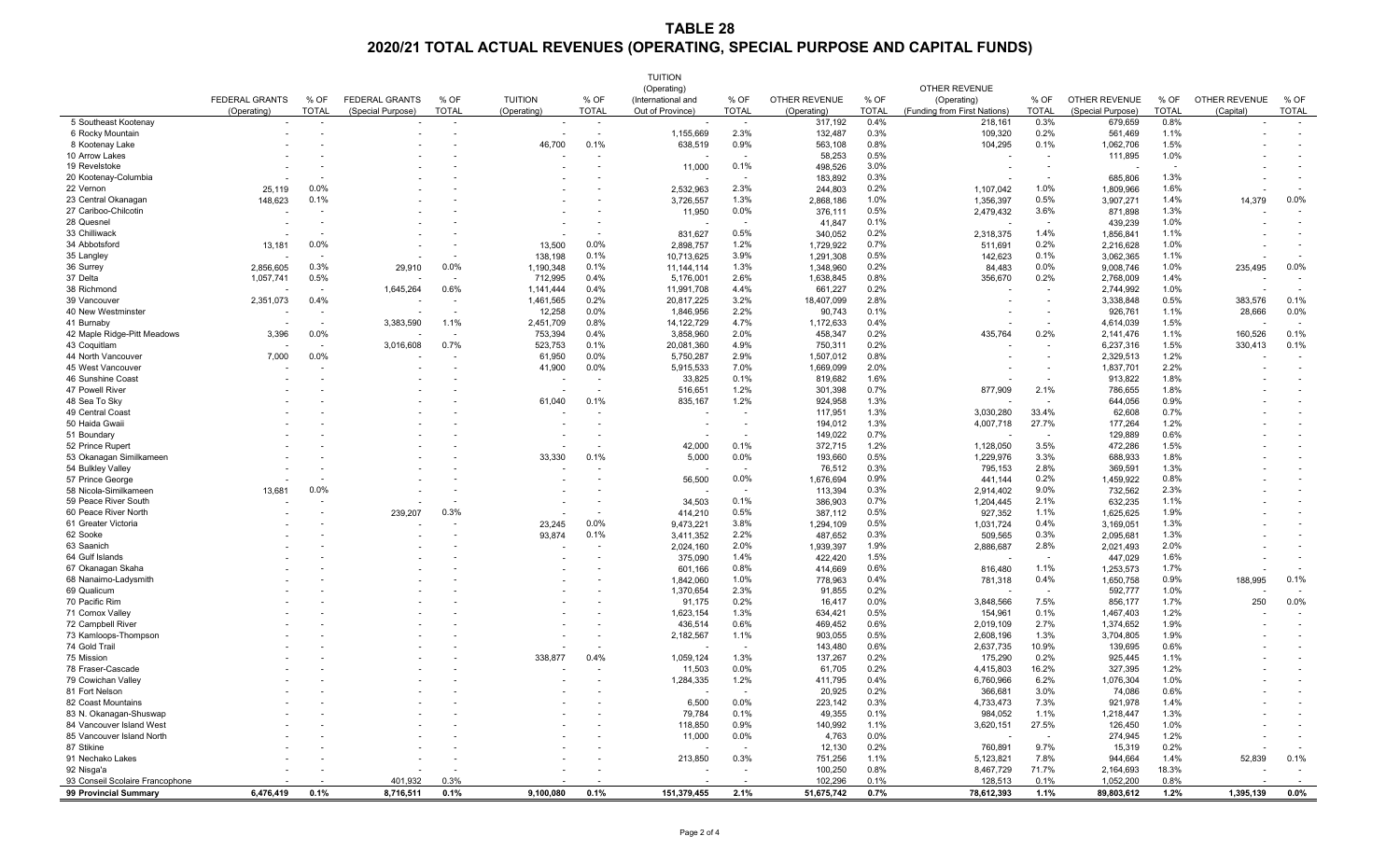## **TABLE 28 2020/21 TOTAL ACTUAL REVENUES (OPERATING, SPECIAL PURPOSE AND CAPITAL FUNDS)**

|                                               |                       |                          |                       |                          |                  |                          | <b>TUITION</b>     |                          |                      |              |                              |                          |                      |              |                          |                          |
|-----------------------------------------------|-----------------------|--------------------------|-----------------------|--------------------------|------------------|--------------------------|--------------------|--------------------------|----------------------|--------------|------------------------------|--------------------------|----------------------|--------------|--------------------------|--------------------------|
|                                               |                       |                          |                       |                          |                  |                          | (Operating)        |                          |                      |              | <b>OTHER REVENUE</b>         |                          |                      |              |                          |                          |
|                                               | <b>FEDERAL GRANTS</b> | % OF                     | <b>FEDERAL GRANTS</b> | % OF                     | <b>TUITION</b>   | % OF                     | (International and | % OF                     | <b>OTHER REVENUE</b> | % OF         | (Operating)                  | % OF                     | <b>OTHER REVENUE</b> | % OF         | <b>OTHER REVENUE</b>     | % OF                     |
|                                               | (Operating)           | <b>TOTAL</b>             | (Special Purpose)     | <b>TOTAL</b>             | (Operating)      | <b>TOTAL</b>             | Out of Province)   | <b>TOTAL</b>             | (Operating)          | <b>TOTAL</b> | (Funding from First Nations) | <b>TOTAL</b>             | (Special Purpose)    | <b>TOTAL</b> | (Capital)                | <b>TOTAL</b>             |
| 5 Southeast Kootenay                          | $\sim$                | $\overline{\phantom{0}}$ |                       | $\sim$                   | $\sim$           | $\sim$                   | $\sim$             | $\overline{\phantom{a}}$ | 317,192              | 0.4%         | 218,161                      | 0.3%                     | 679,659              | 0.8%         | $\overline{\phantom{a}}$ | $\sim$                   |
| 6 Rocky Mountain                              |                       |                          |                       |                          |                  |                          | 1,155,669          | 2.3%                     | 132,487              | 0.3%         | 109,320                      | 0.2%                     | 561,469              | 1.1%         |                          |                          |
| 8 Kootenay Lake                               |                       |                          |                       |                          | 46,700           | 0.1%                     | 638,519            | 0.9%                     | 563,108              | 0.8%         | 104,295                      | 0.1%                     | 1,062,706            | 1.5%         |                          |                          |
| 10 Arrow Lakes                                |                       |                          |                       |                          |                  |                          |                    | $\sim$                   | 58,253               | 0.5%         | $\overline{\phantom{a}}$     |                          | 111,895              | 1.0%         |                          |                          |
| 19 Revelstoke                                 |                       |                          |                       |                          |                  |                          | 11,000             | 0.1%                     | 498,526              | 3.0%         |                              |                          |                      | $\sim$       |                          |                          |
| 20 Kootenay-Columbia                          |                       |                          |                       |                          |                  |                          |                    | $\overline{\phantom{a}}$ | 183,892              | 0.3%         |                              |                          | 685,806              | 1.3%         |                          |                          |
| 22 Vernon                                     | 25,119                | 0.0%                     |                       |                          |                  |                          | 2,532,963          | 2.3%                     | 244,803              | 0.2%         | 1,107,042                    | 1.0%                     | 1,809,966            | 1.6%         |                          |                          |
| 23 Central Okanagan                           | 148,623               | 0.1%                     |                       |                          |                  |                          | 3,726,557          | 1.3%                     | 2,868,186            | 1.0%         | 1,356,397                    | 0.5%                     | 3,907,27             | 1.4%         | 14,379                   | 0.0%                     |
| 27 Cariboo-Chilcotin                          |                       | $\overline{\phantom{a}}$ |                       |                          |                  |                          | 11,950             | 0.0%                     | 376,111              | 0.5%         | 2,479,432                    | 3.6%                     | 871,898              | 1.3%         |                          | $\sim$                   |
| 28 Quesnel                                    |                       |                          |                       |                          |                  |                          |                    | $\overline{\phantom{a}}$ | 41,847               | 0.1%         |                              |                          | 439,239              | 1.0%         |                          |                          |
| 33 Chilliwack                                 |                       |                          |                       |                          |                  | $\overline{\phantom{0}}$ | 831,627            | 0.5%                     | 340,052              | 0.2%         | 2,318,375                    | 1.4%                     | 1,856,84             | 1.1%         |                          |                          |
| 34 Abbotsford                                 | 13,181                | 0.0%                     |                       |                          | 13,500           | 0.0%                     | 2,898,757          | 1.2%                     | 1,729,922            | 0.7%         | 511,691                      | 0.2%                     | 2,216,628            | 1.0%         |                          |                          |
| 35 Langley                                    |                       | $\overline{\phantom{0}}$ |                       | $\overline{\phantom{a}}$ | 138,198          | 0.1%                     | 10,713,625         | 3.9%                     | 1,291,308            | 0.5%         | 142,623                      | 0.1%                     | 3,062,365            | 1.1%         |                          |                          |
| 36 Surrey                                     | 2,856,605             | 0.3%                     | 29,910                | 0.0%                     | 1,190,348        | 0.1%                     | 11,144,114         | 1.3%                     | 1,348,960            | 0.2%         | 84,483                       | 0.0%                     | 9,008,746            | 1.0%         | 235,495                  | $0.0\%$                  |
| 37 Delta                                      | 1,057,741             | 0.5%                     |                       | $\sim$                   | 712,995          | 0.4%                     | 5,176,001          | 2.6%                     | 1,638,845            | 0.8%         | 356,670                      | 0.2%                     | 2,768,009            | 1.4%         |                          |                          |
| 38 Richmond                                   |                       | $\overline{\phantom{0}}$ | 1,645,264             | 0.6%                     | 1,141,444        | 0.4%                     | 11,991,708         | 4.4%                     | 661,227              | 0.2%         |                              | $\overline{\phantom{a}}$ | 2,744,992            | 1.0%         |                          |                          |
| 39 Vancouver                                  | 2,351,073             | 0.4%                     |                       |                          | 1,461,565        | 0.2%                     | 20,817,225         | 3.2%                     | 18,407,099           | 2.8%         |                              |                          | 3,338,848            | 0.5%         | 383,576                  | 0.1%                     |
| 40 New Westminster                            |                       | $\overline{\phantom{0}}$ |                       |                          | 12,258           | 0.0%                     | 1,846,956          | 2.2%                     | 90,743               | 0.1%         | $\overline{\phantom{0}}$     |                          | 926,761              | 1.1%         | 28,666                   | $0.0\%$                  |
| 41 Burnaby                                    |                       | $\overline{\phantom{a}}$ | 3,383,590             | 1.1%                     | 2,451,709        | 0.8%                     | 14, 122, 729       | 4.7%                     | 1,172,633            | 0.4%         | $\overline{\phantom{a}}$     |                          | 4,614,039            | 1.5%         | $\overline{\phantom{a}}$ |                          |
| 42 Maple Ridge-Pitt Meadows                   | 3,396                 | 0.0%                     |                       | $\sim$                   | 753,394          | 0.4%                     | 3,858,960          | 2.0%                     | 458,347              | 0.2%         | 435,764                      | 0.2%                     | 2,141,476            | 1.1%         | 160,526                  | 0.1%                     |
| 43 Coquitlam                                  |                       | $\overline{\phantom{0}}$ | 3,016,608             | 0.7%                     | 523,753          | 0.1%                     | 20,081,360         | 4.9%                     | 750,31               | 0.2%         |                              | $\overline{\phantom{a}}$ | 6,237,316            | 1.5%         | 330,413                  | 0.1%                     |
| 44 North Vancouver                            | 7,000                 | 0.0%                     |                       |                          | 61,950           | 0.0%                     | 5,750,287          | 2.9%                     | 1,507,012            | 0.8%         |                              |                          | 2,329,513            | 1.2%         |                          |                          |
| 45 West Vancouver                             |                       |                          |                       |                          | 41,900           | 0.0%                     | 5,915,533          | 7.0%                     | 1,669,099            | 2.0%         |                              |                          | 1,837,701            | 2.2%         |                          |                          |
| 46 Sunshine Coast                             |                       |                          |                       |                          |                  |                          | 33,825             | 0.1%                     | 819,682              | 1.6%         |                              |                          | 913,822              | 1.8%         |                          |                          |
| 47 Powell River                               |                       |                          |                       |                          |                  |                          | 516,651            | 1.2%                     | 301,398              | 0.7%         | 877,909                      | 2.1%                     | 786,655              | 1.8%         |                          |                          |
| 48 Sea To Sky                                 |                       |                          |                       |                          | 61,040           | 0.1%                     | 835,167            | 1.2%                     | 924,958              | 1.3%         |                              |                          | 644,056              | 0.9%         |                          |                          |
| 49 Central Coast                              |                       |                          |                       |                          |                  |                          |                    |                          | 117,951              | 1.3%         | 3,030,280                    | 33.4%                    | 62,608               | 0.7%         |                          |                          |
| 50 Haida Gwaii                                |                       |                          |                       |                          |                  |                          |                    |                          | 194,012              | 1.3%         | 4,007,718                    | 27.7%                    | 177,264              | 1.2%         |                          |                          |
| 51 Boundary                                   |                       |                          |                       |                          |                  |                          |                    |                          | 149,022              | 0.7%         |                              |                          | 129,889              | 0.6%         |                          |                          |
| 52 Prince Rupert                              |                       |                          |                       |                          |                  |                          | 42,000             | 0.1%                     | 372,715              | 1.2%         | 1,128,050                    | 3.5%                     | 472,286              | 1.5%         |                          |                          |
| 53 Okanagan Similkameen                       |                       |                          |                       |                          | 33,330           | 0.1%                     | 5,000              | 0.0%                     | 193,660              | 0.5%         | 1,229,976                    | 3.3%                     | 688,933              | 1.8%         |                          |                          |
| 54 Bulkley Valley                             |                       |                          |                       |                          |                  |                          |                    |                          | 76,512               | 0.3%         | 795,153                      | 2.8%                     | 369,591              | 1.3%         |                          |                          |
| 57 Prince George                              |                       |                          |                       |                          |                  |                          | 56,500             | 0.0%                     | 1,676,694            | 0.9%         | 441,144                      | 0.2%                     | 1,459,922            | 0.8%         |                          |                          |
| 58 Nicola-Similkameen                         | 13,681                | 0.0%                     |                       |                          |                  |                          |                    |                          | 113,394              | 0.3%         | 2,914,402                    | 9.0%                     | 732,562              | 2.3%         |                          |                          |
| 59 Peace River South                          |                       |                          |                       |                          |                  |                          | 34,503             | 0.1%                     | 386,903              | 0.7%         | 1,204,445                    | 2.1%                     | 632,235              | 1.1%         |                          |                          |
| 60 Peace River North                          |                       |                          | 239,207               | 0.3%                     |                  |                          | 414,210            | 0.5%                     | 387,112              | 0.5%         | 927,352                      | 1.1%                     | 1,625,625            | 1.9%         |                          |                          |
| 61 Greater Victoria                           |                       |                          |                       |                          | 23,245           | 0.0%                     | 9,473,221          | 3.8%                     | 1,294,109            | 0.5%         | 1,031,724                    | 0.4%                     | 3,169,051            | 1.3%         |                          |                          |
| 62 Sooke                                      |                       |                          |                       |                          | 93,874           | 0.1%                     | 3,411,352          | 2.2%                     | 487,652              | 0.3%         | 509,565                      | 0.3%                     | 2,095,681            | 1.3%         |                          |                          |
| 63 Saanich                                    |                       |                          |                       |                          |                  |                          | 2,024,160          | 2.0%                     | 1,939,397            | 1.9%         | 2,886,687                    | 2.8%                     | 2,021,493            | 2.0%         |                          |                          |
| 64 Gulf Islands                               |                       |                          |                       |                          |                  |                          | 375,090            | 1.4%                     | 422,420              | 1.5%         |                              |                          | 447,029              | 1.6%         |                          |                          |
| 67 Okanagan Skaha                             |                       |                          |                       |                          |                  |                          | 601,166            | 0.8%                     | 414,669              | 0.6%         | 816,480                      | 1.1%                     | 1,253,573            | 1.7%         |                          |                          |
| 68 Nanaimo-Ladysmith                          |                       |                          |                       |                          |                  |                          | 1,842,060          | 1.0%                     | 778,963              | 0.4%         | 781,318                      | 0.4%                     | 1,650,758            | 0.9%         | 188,995                  | 0.1%                     |
| 69 Qualicum                                   |                       |                          |                       |                          |                  |                          | 1,370,654          | 2.3%                     | 91,855               | 0.2%         |                              |                          | 592,777              | 1.0%         |                          |                          |
| 70 Pacific Rim                                |                       |                          |                       |                          |                  |                          | 91,175             | 0.2%                     | 16,417               | 0.0%         | 3,848,566                    | 7.5%                     | 856,177              | 1.7%         | 250                      | 0.0%                     |
| 71 Comox Valley                               |                       |                          |                       |                          |                  |                          | 1,623,154          | 1.3%                     | 634,421              | 0.5%         | 154,961                      | 0.1%                     | 1,467,403            | 1.2%         |                          |                          |
| 72 Campbell River                             |                       |                          |                       |                          |                  |                          | 436,514            | 0.6%                     | 469,452              | 0.6%         | 2,019,109                    | 2.7%                     | 1,374,652            | 1.9%         |                          |                          |
| 73 Kamloops-Thompson                          |                       |                          |                       |                          |                  |                          | 2,182,567          | 1.1%                     | 903,055              | 0.5%         | 2,608,196                    | 1.3%                     | 3,704,805            | 1.9%         |                          |                          |
| 74 Gold Trail                                 |                       |                          |                       |                          |                  |                          |                    |                          | 143,480              | 0.6%         | 2,637,735                    | 10.9%                    | 139,695              | 0.6%         |                          |                          |
| 75 Mission                                    |                       |                          |                       |                          | 338,877          | 0.4%                     | 1,059,124          | 1.3%                     | 137,267              | 0.2%         | 175,290                      | 0.2%                     | 925,445              | 1.1%         |                          |                          |
| 78 Fraser-Cascade                             |                       |                          |                       |                          |                  |                          | 11,503             | 0.0%                     | 61,705               | 0.2%         | 4,415,803                    | 16.2%                    | 327,395              | 1.2%         |                          |                          |
| 79 Cowichan Valley                            |                       |                          |                       |                          |                  |                          | 1,284,335          | 1.2%                     | 411,795              | 0.4%         | 6,760,966                    | 6.2%                     | 1,076,304            | 1.0%         |                          |                          |
| 81 Fort Nelson                                |                       |                          |                       |                          |                  |                          |                    |                          | 20,925               | 0.2%         | 366,681                      | 3.0%                     | 74,086               | 0.6%         |                          |                          |
| 82 Coast Mountains                            |                       |                          |                       |                          |                  |                          | 6,500              | 0.0%                     | 223,142              | 0.3%         | 4,733,473                    | 7.3%                     | 921,978              | 1.4%         |                          |                          |
| 83 N. Okanagan-Shuswap                        |                       |                          |                       |                          |                  |                          | 79,784             | 0.1%                     | 49,355               | 0.1%         | 984,052                      | 1.1%                     | 1,218,447            | 1.3%         |                          |                          |
| 84 Vancouver Island West                      |                       |                          |                       |                          |                  |                          | 118,850            | 0.9%                     | 140,992              | 1.1%         | 3,620,151                    | 27.5%                    | 126,450              | 1.0%         |                          |                          |
| 85 Vancouver Island North                     |                       |                          |                       |                          |                  |                          |                    | 0.0%                     | 4,763                | 0.0%         |                              |                          |                      | 1.2%         |                          |                          |
| 87 Stikine                                    |                       |                          |                       |                          |                  |                          | 11,000             |                          |                      | 0.2%         |                              | 9.7%                     | 274,945              | 0.2%         |                          |                          |
|                                               |                       |                          |                       |                          |                  |                          |                    | 0.3%                     | 12,130               | 1.1%         | 760,891                      | 7.8%                     | 15,319               | 1.4%         |                          | 0.1%                     |
| 91 Nechako Lakes                              |                       |                          |                       |                          |                  |                          | 213,850            |                          | 751,256              |              | 5,123,821                    |                          | 944,664              |              | 52,839                   |                          |
| 92 Nisga'a<br>93 Conseil Scolaire Francophone |                       |                          |                       |                          |                  |                          |                    |                          | 100,250              | $0.8\%$      | 8,467,729                    | 71.7%                    | 2,164,693            | 18.3%        |                          |                          |
|                                               |                       |                          | 401,932               | $0.3\%$                  | $\sim$ 100 $\mu$ |                          | $\sim$             |                          | 102,296              | 0.1%         | 128,513                      | 0.1%                     | 1,052,200            | $0.8\%$      |                          | <b>Contract Contract</b> |
| 99 Provincial Summary                         | 6,476,419 0.1%        |                          | 8,716,511             | 0.1%                     | 9,100,080        | 0.1%                     | 151,379,455        | 2.1%                     | 51,675,742           | 0.7%         | 78,612,393                   | 1.1%                     | 89,803,612           | 1.2%         | 1,395,139                | $0.0\%$                  |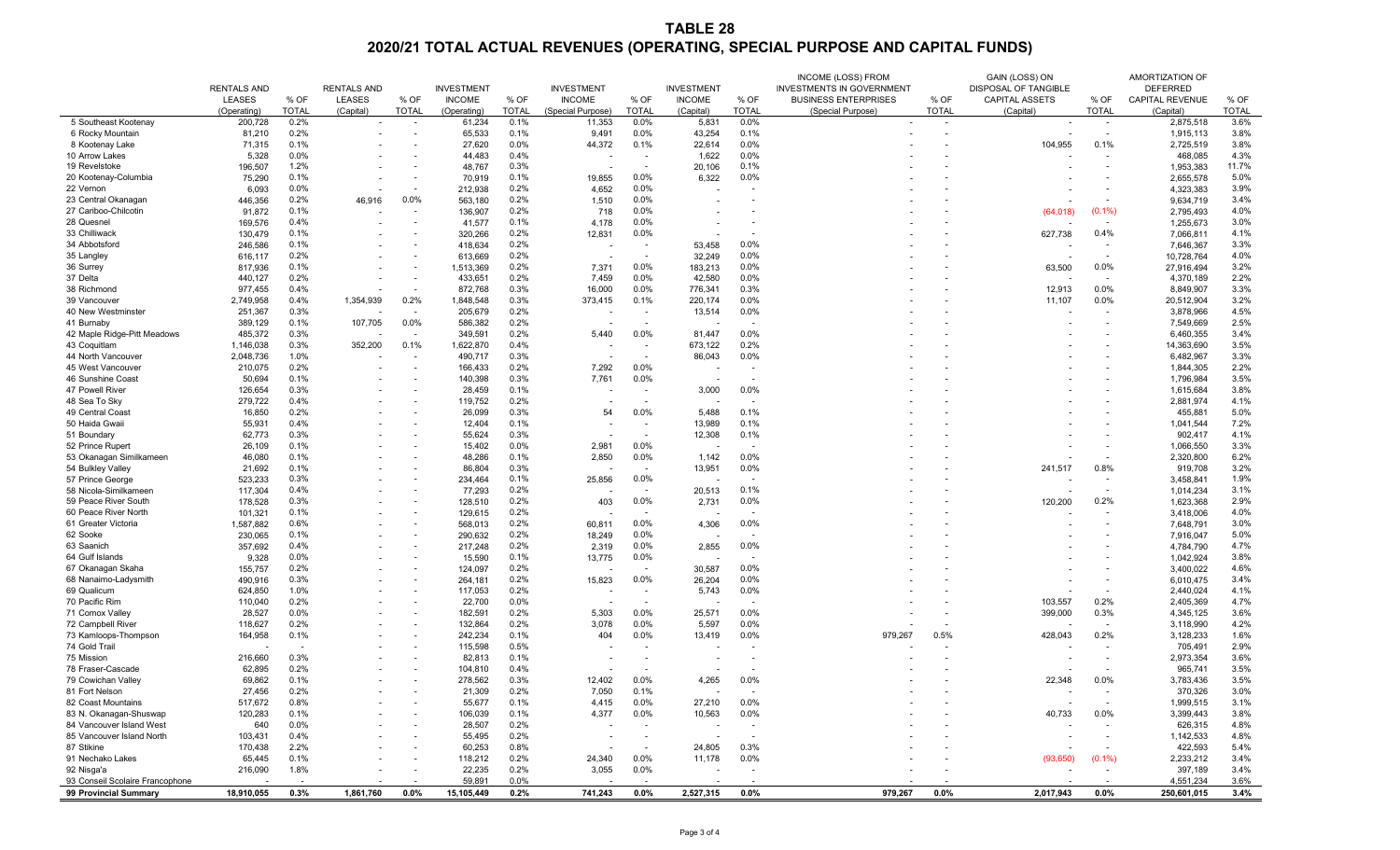## **TABLE 28**

**2020/21 TOTAL ACTUAL REVENUES (OPERATING, SPECIAL PURPOSE AND CAPITAL FUNDS)**

|                                                    | <b>RENTALS AND</b><br><b>LEASES</b> | % OF         | <b>RENTALS AND</b><br><b>LEASES</b> | % OF                             | <b>INVESTMENT</b><br><b>INCOME</b> | % OF         | <b>INVESTMENT</b><br><b>INCOME</b> | % OF                                                 | <b>INVESTMENT</b><br><b>INCOME</b> | % OF           | <b>INCOME (LOSS) FROM</b><br><b>INVESTMENTS IN GOVERNMENT</b><br><b>BUSINESS ENTERPRISES</b> | % OF                     | GAIN (LOSS) ON<br><b>DISPOSAL OF TANGIBLE</b><br><b>CAPITAL ASSETS</b> | % OF                               | <b>AMORTIZATION OF</b><br><b>DEFERRED</b><br><b>CAPITAL REVENUE</b> | % OF         |
|----------------------------------------------------|-------------------------------------|--------------|-------------------------------------|----------------------------------|------------------------------------|--------------|------------------------------------|------------------------------------------------------|------------------------------------|----------------|----------------------------------------------------------------------------------------------|--------------------------|------------------------------------------------------------------------|------------------------------------|---------------------------------------------------------------------|--------------|
|                                                    | (Operating)                         | <b>TOTAL</b> | (Capital)                           | <b>TOTAL</b>                     | (Operating)                        | <b>TOTAL</b> | (Special Purpose)                  | <b>TOTAL</b>                                         | (Capital)                          | <b>TOTAL</b>   | (Special Purpose)                                                                            | <b>TOTAL</b>             | (Capital)                                                              | <b>TOTAL</b>                       | (Capital)                                                           | <b>TOTAL</b> |
| 5 Southeast Kootenay                               | 200,728                             | 0.2%         | $\sim$                              | $\sim$                           | 61,234                             | 0.1%         | 11,353                             | $0.0\%$                                              | 5,831                              | 0.0%           | $\sim$                                                                                       | $\sim$                   | $\sim$                                                                 | $\sim$                             | 2,875,518                                                           | 3.6%         |
| 6 Rocky Mountain                                   | 81,210                              | 0.2%         | $\overline{\phantom{a}}$            | $\overline{\phantom{a}}$         | 65,533                             | 0.1%         | 9,491                              | $0.0\%$                                              | 43,254                             | 0.1%           |                                                                                              |                          |                                                                        | $\overline{\phantom{a}}$           | 1,915,113                                                           | 3.8%         |
| 8 Kootenay Lake                                    | 71,315                              | 0.1%         | $\overline{\phantom{a}}$            | $\blacksquare$                   | 27,620                             | 0.0%         | 44,372                             | 0.1%                                                 | 22,614                             | 0.0%           |                                                                                              |                          | 104,955                                                                | 0.1%                               | 2,725,519                                                           | 3.8%         |
| 10 Arrow Lakes                                     | 5,328                               | 0.0%         | $\overline{\phantom{a}}$            | $\overline{\phantom{a}}$         | 44,483                             | 0.4%         |                                    | $\overline{\phantom{a}}$                             | 1,622                              | 0.0%           |                                                                                              |                          |                                                                        | $\overline{\phantom{a}}$           | 468,085                                                             | 4.3%         |
| 19 Revelstoke                                      | 196,507                             | 1.2%         | $\overline{\phantom{a}}$            | $\overline{\phantom{0}}$         | 48,767                             | 0.3%         | $\sim$                             | $\overline{\phantom{0}}$                             | 20,106                             | 0.1%           |                                                                                              |                          |                                                                        | $\overline{\phantom{a}}$           | 1,953,383                                                           | 11.7%        |
| 20 Kootenay-Columbia                               | 75,290                              | 0.1%         | $\overline{\phantom{a}}$            | $\overline{\phantom{0}}$         | 70,919                             | 0.1%         | 19,855                             | $0.0\%$                                              | 6,322                              | 0.0%           |                                                                                              |                          |                                                                        |                                    | 2,655,578                                                           | 5.0%         |
| 22 Vernon                                          | 6,093                               | 0.0%         | $\overline{\phantom{a}}$            | $\overline{\phantom{a}}$         | 212,938                            | 0.2%         | 4,652                              | $0.0\%$                                              |                                    |                |                                                                                              |                          |                                                                        | $\overline{\phantom{a}}$           | 4,323,383                                                           | 3.9%         |
| 23 Central Okanagan                                | 446,356                             | 0.2%         | 46,916                              | 0.0%                             | 563,180                            | 0.2%         | 1,510                              | $0.0\%$                                              |                                    |                |                                                                                              |                          |                                                                        | $\overline{\phantom{a}}$           | 9,634,719                                                           | 3.4%         |
| 27 Cariboo-Chilcotin                               | 91,872                              | 0.1%         |                                     | $\overline{\phantom{a}}$         | 136,907                            | 0.2%         | 718                                | $0.0\%$                                              |                                    |                |                                                                                              |                          | (64, 018)                                                              | $(0.1\%)$                          | 2,795,493                                                           | 4.0%         |
| 28 Quesnel                                         | 169,576                             | 0.4%         | $\overline{\phantom{a}}$            | $\overline{\phantom{0}}$         | 41,577                             | 0.1%         | 4,178                              | 0.0%                                                 |                                    |                |                                                                                              |                          |                                                                        | $\overline{\phantom{0}}$           | 1,255,673                                                           | 3.0%         |
| 33 Chilliwack                                      | 130,479                             | 0.1%         | $\overline{\phantom{a}}$            | $\sim$                           | 320,266                            | 0.2%         | 12,831                             | 0.0%                                                 |                                    |                |                                                                                              |                          | 627,738                                                                | 0.4%                               | 7,066,81                                                            | 4.1%         |
| 34 Abbotsford                                      | 246,586                             | 0.1%         | $\overline{\phantom{a}}$            | $\sim$                           | 418,634                            | 0.2%         |                                    | $\overline{\phantom{a}}$                             | 53,458                             | 0.0%           |                                                                                              |                          |                                                                        | $\sim$                             | 7,646,367                                                           | 3.3%         |
| 35 Langley                                         | 616,117                             | 0.2%         | $\overline{\phantom{0}}$            |                                  | 613,669                            | 0.2%         |                                    |                                                      | 32,249                             | 0.0%           |                                                                                              |                          |                                                                        |                                    | 10,728,764                                                          | 4.0%         |
| 36 Surrey                                          | 817,936                             | 0.1%         | $\overline{\phantom{a}}$            | $\sim$                           | 1,513,369                          | 0.2%         | 7,371                              | $0.0\%$                                              | 183,213                            | 0.0%           |                                                                                              |                          | 63,500                                                                 | 0.0%                               | 27,916,494                                                          | 3.2%         |
| 37 Delta                                           | 440,127                             | 0.2%         | $\overline{\phantom{a}}$            |                                  | 433,65                             | 0.2%         | 7,459                              | 0.0%                                                 | 42,580                             | 0.0%           |                                                                                              |                          |                                                                        | $\overline{\phantom{0}}$           | 4,370,189                                                           | 2.2%         |
| 38 Richmond                                        | 977,455                             | 0.4%         |                                     | $\overline{\phantom{a}}$         | 872,768                            | 0.3%         | 16,000                             | $0.0\%$                                              | 776,341                            | 0.3%           |                                                                                              |                          | 12,913                                                                 | $0.0\%$                            | 8,849,907                                                           | 3.3%         |
| 39 Vancouver                                       | 2,749,958                           | 0.4%         | 1,354,939                           | 0.2%                             | 1,848,548                          | 0.3%         | 373,415                            | 0.1%                                                 | 220,174                            | 0.0%           |                                                                                              |                          | 11,107                                                                 | $0.0\%$                            | 20,512,904                                                          | 3.2%         |
| 40 New Westminster                                 | 251,367                             | 0.3%         |                                     |                                  | 205,679                            | 0.2%         |                                    | $\overline{\phantom{0}}$                             | 13,514                             | 0.0%           |                                                                                              |                          |                                                                        | $\sim$                             | 3,878,966                                                           | 4.5%         |
| 41 Burnaby<br>42 Maple Ridge-Pitt Meadows          | 389,129                             | 0.1%<br>0.3% | 107,705                             | 0.0%                             | 586,382                            | 0.2%<br>0.2% | 5,440                              | $\sim$<br>$0.0\%$                                    |                                    | $\sim$<br>0.0% |                                                                                              |                          |                                                                        | $\sim$                             | 7,549,669                                                           | 2.5%<br>3.4% |
| 43 Coquitlam                                       | 485,372<br>1,146,038                | 0.3%         | $\overline{\phantom{a}}$<br>352,200 | $\overline{\phantom{a}}$<br>0.1% | 349,591<br>1,622,870               | 0.4%         |                                    |                                                      | 81,447<br>673,122                  | 0.2%           |                                                                                              |                          |                                                                        | $\overline{\phantom{0}}$<br>$\sim$ | 6,460,355<br>14,363,690                                             | 3.5%         |
| 44 North Vancouver                                 | 2,048,736                           | 1.0%         |                                     |                                  | 490,717                            | 0.3%         | $\sim$                             | $\overline{\phantom{a}}$<br>$\overline{\phantom{0}}$ | 86,043                             | 0.0%           |                                                                                              |                          |                                                                        | $\overline{\phantom{a}}$           | 6,482,967                                                           | 3.3%         |
| 45 West Vancouver                                  | 210,075                             | 0.2%         | $\overline{\phantom{a}}$            | $\overline{\phantom{a}}$         | 166,433                            | 0.2%         | $\sim$<br>7,292                    | $0.0\%$                                              |                                    |                |                                                                                              |                          |                                                                        | $\overline{\phantom{a}}$           | 1,844,305                                                           | 2.2%         |
| 46 Sunshine Coast                                  | 50,694                              | 0.1%         | $\overline{\phantom{0}}$            | $\overline{\phantom{0}}$         | 140,398                            | 0.3%         | 7,761                              | 0.0%                                                 |                                    |                |                                                                                              |                          |                                                                        |                                    | 1,796,984                                                           | 3.5%         |
| 47 Powell River                                    | 126,654                             | 0.3%         | $\overline{\phantom{a}}$            | $\overline{\phantom{0}}$         | 28,459                             | 0.1%         |                                    | $\overline{\phantom{0}}$                             | 3,000                              | 0.0%           |                                                                                              |                          |                                                                        | $\overline{\phantom{a}}$           | 1,615,684                                                           | 3.8%         |
| 48 Sea To Sky                                      | 279,722                             | 0.4%         | $\overline{\phantom{a}}$            | $\blacksquare$                   | 119,752                            | 0.2%         |                                    |                                                      |                                    |                |                                                                                              |                          |                                                                        |                                    | 2,881,974                                                           | 4.1%         |
| 49 Central Coast                                   | 16,850                              | 0.2%         |                                     |                                  | 26,099                             | 0.3%         | 54                                 | $0.0\%$                                              | 5,488                              | 0.1%           |                                                                                              |                          |                                                                        |                                    | 455,881                                                             | 5.0%         |
| 50 Haida Gwaii                                     | 55,931                              | 0.4%         |                                     |                                  | 12,404                             | 0.1%         |                                    |                                                      | 13,989                             | 0.1%           |                                                                                              |                          |                                                                        |                                    | 1,041,544                                                           | 7.2%         |
| 51 Boundary                                        | 62,773                              | 0.3%         |                                     |                                  | 55,624                             | 0.3%         |                                    |                                                      | 12,308                             | 0.1%           |                                                                                              |                          |                                                                        |                                    | 902,417                                                             | 4.1%         |
| 52 Prince Rupert                                   | 26,109                              | 0.1%         |                                     |                                  | 15,402                             | 0.0%         | 2,981                              | 0.0%                                                 |                                    |                |                                                                                              |                          |                                                                        |                                    | 1,066,550                                                           | 3.3%         |
| 53 Okanagan Similkameen                            | 46,080                              | 0.1%         | $\overline{\phantom{a}}$            |                                  | 48,286                             | 0.1%         | 2,850                              | $0.0\%$                                              | 1,142                              | 0.0%           |                                                                                              |                          |                                                                        |                                    | 2,320,800                                                           | 6.2%         |
| 54 Bulkley Valley                                  | 21,692                              | 0.1%         |                                     |                                  | 86,804                             | 0.3%         |                                    | $\overline{\phantom{a}}$                             | 13,951                             | 0.0%           |                                                                                              |                          | 241,517                                                                | 0.8%                               | 919,708                                                             | 3.2%         |
| 57 Prince George                                   | 523,233                             | 0.3%         | $\overline{\phantom{a}}$            | $\sim$                           | 234,464                            | 0.1%         | 25,856                             | 0.0%                                                 |                                    |                |                                                                                              |                          |                                                                        |                                    | 3,458,841                                                           | 1.9%         |
| 58 Nicola-Similkameen                              | 117,304                             | 0.4%         |                                     |                                  | 77,293                             | 0.2%         |                                    |                                                      | 20,513                             | 0.1%           |                                                                                              |                          |                                                                        |                                    | 1,014,234                                                           | 3.1%         |
| 59 Peace River South                               | 178,528                             | 0.3%         | $\overline{\phantom{a}}$            |                                  | 128,510                            | 0.2%         | 403                                | 0.0%                                                 | 2,731                              | 0.0%           |                                                                                              |                          | 120,200                                                                | 0.2%                               | 1,623,368                                                           | 2.9%         |
| 60 Peace River North                               | 101,321                             | 0.1%         | $\overline{\phantom{a}}$            |                                  | 129,615                            | 0.2%         |                                    |                                                      |                                    |                |                                                                                              |                          |                                                                        |                                    | 3,418,006                                                           | 4.0%         |
| 61 Greater Victoria                                | 1,587,882                           | 0.6%         |                                     |                                  | 568,013                            | 0.2%         | 60,811                             | $0.0\%$                                              | 4,306                              | 0.0%           |                                                                                              |                          |                                                                        |                                    | 7,648,791                                                           | 3.0%         |
| 62 Sooke                                           | 230,065                             | 0.1%         | $\sim$                              | $\sim$                           | 290,632                            | 0.2%         | 18,249                             | $0.0\%$                                              |                                    |                |                                                                                              |                          |                                                                        |                                    | 7,916,047                                                           | 5.0%         |
| 63 Saanich                                         | 357,692                             | 0.4%         | $\overline{\phantom{a}}$            |                                  | 217,248                            | 0.2%         | 2,319                              | 0.0%                                                 | 2,855                              | 0.0%           |                                                                                              |                          |                                                                        |                                    | 4,784,790                                                           | 4.7%         |
| 64 Gulf Islands                                    | 9,328                               | 0.0%         | $\overline{\phantom{a}}$            |                                  | 15,590                             | 0.1%         | 13,775                             | $0.0\%$                                              |                                    |                |                                                                                              |                          |                                                                        |                                    | 1,042,924                                                           | 3.8%         |
| 67 Okanagan Skaha                                  | 155,757                             | 0.2%         | $\overline{\phantom{a}}$            |                                  | 124,097                            | 0.2%         |                                    |                                                      | 30,587                             | 0.0%           |                                                                                              |                          |                                                                        |                                    | 3,400,022                                                           | 4.6%         |
| 68 Nanaimo-Ladysmith                               | 490,916                             | 0.3%         |                                     |                                  | 264,181                            | 0.2%         | 15,823                             | $0.0\%$                                              | 26,204                             | 0.0%           |                                                                                              |                          |                                                                        |                                    | 6,010,475                                                           | 3.4%         |
| 69 Qualicum                                        | 624,850                             | 1.0%         |                                     | $\sim$                           | 117,053                            | 0.2%         |                                    |                                                      | 5,743                              | 0.0%           |                                                                                              |                          |                                                                        |                                    | 2,440,024                                                           | 4.1%         |
| 70 Pacific Rim                                     | 110,040                             | 0.2%         |                                     | $\overline{\phantom{a}}$         | 22,700                             | 0.0%         |                                    |                                                      |                                    |                |                                                                                              |                          | 103,557                                                                | 0.2%                               | 2,405,369                                                           | 4.7%         |
| 71 Comox Valley                                    | 28,527                              | 0.0%         | $\overline{\phantom{a}}$            |                                  | 182,591                            | 0.2%         | 5,303                              | 0.0%                                                 | 25,571                             | 0.0%           |                                                                                              |                          | 399,000                                                                | 0.3%                               | 4,345,125                                                           | 3.6%         |
| 72 Campbell River                                  | 118,627                             | 0.2%         | $\overline{\phantom{a}}$            |                                  | 132,864                            | 0.2%         | 3,078                              | $0.0\%$                                              | 5,597                              | 0.0%           |                                                                                              |                          |                                                                        |                                    | 3,118,990                                                           | 4.2%         |
| 73 Kamloops-Thompson                               | 164,958                             | 0.1%         | $\sim$                              |                                  | 242,234                            | 0.1%         | 404                                | $0.0\%$                                              | 13,419                             | 0.0%           | 979,267                                                                                      | 0.5%                     | 428,043                                                                | 0.2%                               | 3,128,233                                                           | 1.6%         |
| 74 Gold Trail                                      |                                     |              |                                     | $\sim$                           | 115,598                            | 0.5%         |                                    | $\overline{\phantom{0}}$                             |                                    |                |                                                                                              |                          |                                                                        |                                    | 705,491                                                             | 2.9%         |
| 75 Mission                                         | 216,660                             | 0.3%         |                                     |                                  | 82,813                             | 0.1%         |                                    |                                                      |                                    |                |                                                                                              |                          |                                                                        |                                    | 2,973,354                                                           | 3.6%         |
| 78 Fraser-Cascade                                  | 62,895                              | 0.2%         | $\overline{\phantom{a}}$            |                                  | 104,810                            | 0.4%         |                                    |                                                      |                                    |                |                                                                                              |                          |                                                                        |                                    | 965,741                                                             | 3.5%         |
| 79 Cowichan Valley                                 | 69,862                              | 0.1%         |                                     |                                  | 278,562                            | 0.3%         | 12,402                             | $0.0\%$                                              | 4,265                              | 0.0%           |                                                                                              |                          | 22,348                                                                 | 0.0%                               | 3,783,436                                                           | 3.5%         |
| 81 Fort Nelson<br>82 Coast Mountains               | 27,456                              | 0.2%<br>0.8% | $\sim$                              |                                  | 21,309                             | 0.2%         | 7,050                              | 0.1%<br>0.0%                                         |                                    | 0.0%           |                                                                                              |                          |                                                                        |                                    | 370,326                                                             | 3.0%<br>3.1% |
|                                                    | 517,672                             |              |                                     |                                  | 55,677                             | 0.1%         | 4,415                              |                                                      | 27,210                             |                |                                                                                              |                          |                                                                        |                                    | 1,999,515                                                           | 3.8%         |
| 83 N. Okanagan-Shuswap<br>84 Vancouver Island West | 120,283                             | 0.1%<br>0.0% |                                     |                                  | 106,039                            | 0.1%<br>0.2% | 4,377                              | 0.0%                                                 | 10,563                             | 0.0%           |                                                                                              |                          | 40,733                                                                 | 0.0%                               | 3,399,443                                                           | 4.8%         |
| 85 Vancouver Island North                          | 640<br>103,431                      | 0.4%         |                                     |                                  | 28,507<br>55,495                   | 0.2%         |                                    |                                                      |                                    |                |                                                                                              |                          |                                                                        |                                    | 626,315                                                             | 4.8%         |
| 87 Stikine                                         | 170,438                             | 2.2%         |                                     |                                  | 60,253                             | 0.8%         |                                    |                                                      | 24,805                             | 0.3%           |                                                                                              |                          |                                                                        |                                    | 1,142,533<br>422,593                                                | 5.4%         |
| 91 Nechako Lakes                                   | 65,445                              | 0.1%         |                                     |                                  | 118,212                            | 0.2%         | 24,340                             | 0.0%                                                 | 11,178                             | 0.0%           |                                                                                              |                          | (93, 650)                                                              | $(0.1\%)$                          | 2,233,212                                                           | 3.4%         |
| 92 Nisga'a                                         | 216,090                             | 1.8%         |                                     |                                  | 22,235                             | 0.2%         | 3,055                              | $0.0\%$                                              | $\sim$                             |                |                                                                                              |                          |                                                                        |                                    | 397,189                                                             | 3.4%         |
| 93 Conseil Scolaire Francophone                    |                                     |              |                                     |                                  | 59,891                             | $0.0\%$      |                                    |                                                      |                                    |                | $\sim$                                                                                       | $\overline{\phantom{0}}$ |                                                                        |                                    | 4,551,234                                                           | 3.6%         |
| 99 Provincial Summary                              | 18,910,055                          | 0.3%         | 1,861,760                           | $0.0\%$                          | 15,105,449                         | 0.2%         | 741,243                            | $0.0\%$                                              | 2,527,315                          | $0.0\%$        | 979,267                                                                                      | $0.0\%$                  | 2,017,943                                                              | $0.0\%$                            | 250,601,015                                                         | 3.4%         |
|                                                    |                                     |              |                                     |                                  |                                    |              |                                    |                                                      |                                    |                |                                                                                              |                          |                                                                        |                                    |                                                                     |              |